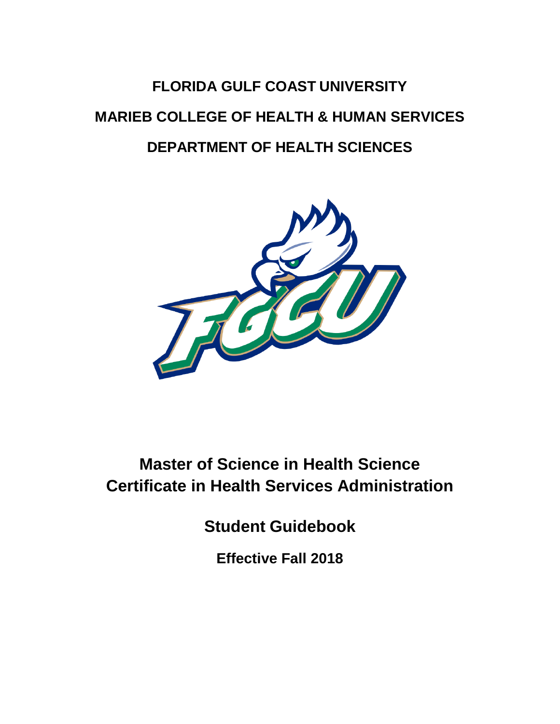# **FLORIDA GULF COAST UNIVERSITY MARIEB COLLEGE OF HEALTH & HUMAN SERVICES DEPARTMENT OF HEALTH SCIENCES**



## **Master of Science in Health Science Certificate in Health Services Administration**

**Student Guidebook**

**Effective Fall 2018**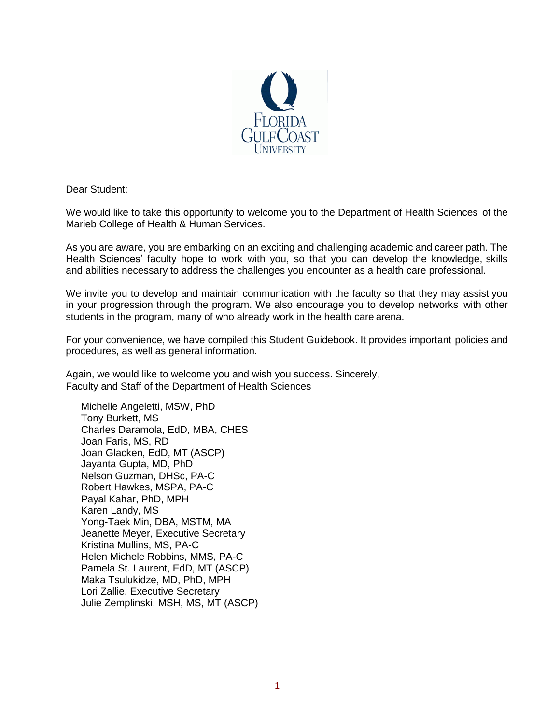

Dear Student:

We would like to take this opportunity to welcome you to the Department of Health Sciences of the Marieb College of Health & Human Services.

As you are aware, you are embarking on an exciting and challenging academic and career path. The Health Sciences' faculty hope to work with you, so that you can develop the knowledge, skills and abilities necessary to address the challenges you encounter as a health care professional.

We invite you to develop and maintain communication with the faculty so that they may assist you in your progression through the program. We also encourage you to develop networks with other students in the program, many of who already work in the health care arena.

For your convenience, we have compiled this Student Guidebook. It provides important policies and procedures, as well as general information.

Again, we would like to welcome you and wish you success. Sincerely, Faculty and Staff of the Department of Health Sciences

Michelle Angeletti, MSW, PhD Tony Burkett, MS Charles Daramola, EdD, MBA, CHES Joan Faris, MS, RD Joan Glacken, EdD, MT (ASCP) Jayanta Gupta, MD, PhD Nelson Guzman, DHSc, PA-C Robert Hawkes, MSPA, PA-C Payal Kahar, PhD, MPH Karen Landy, MS Yong-Taek Min, DBA, MSTM, MA Jeanette Meyer, Executive Secretary Kristina Mullins, MS, PA-C Helen Michele Robbins, MMS, PA-C Pamela St. Laurent, EdD, MT (ASCP) Maka Tsulukidze, MD, PhD, MPH Lori Zallie, Executive Secretary Julie Zemplinski, MSH, MS, MT (ASCP)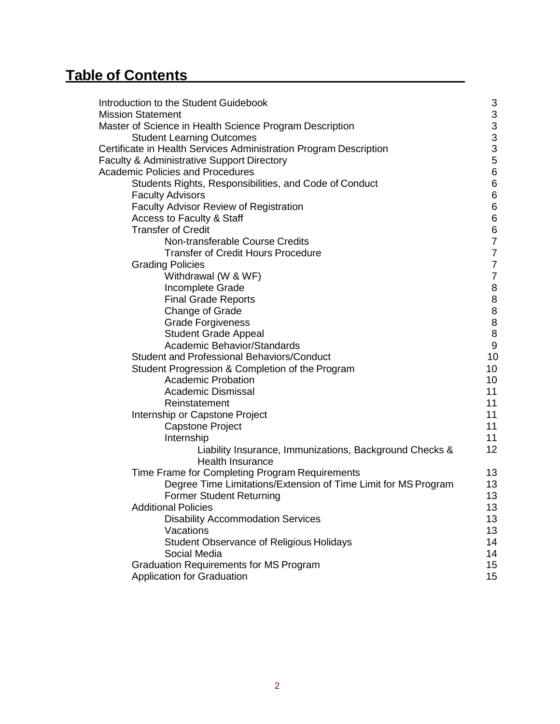## **Table of Contents**

| Introduction to the Student Guidebook                             | $\ensuremath{\mathsf{3}}$ |
|-------------------------------------------------------------------|---------------------------|
| <b>Mission Statement</b>                                          | 3                         |
| Master of Science in Health Science Program Description           | $\mathfrak{S}$            |
| <b>Student Learning Outcomes</b>                                  | 33566666                  |
| Certificate in Health Services Administration Program Description |                           |
| Faculty & Administrative Support Directory                        |                           |
| <b>Academic Policies and Procedures</b>                           |                           |
| Students Rights, Responsibilities, and Code of Conduct            |                           |
| <b>Faculty Advisors</b>                                           |                           |
| Faculty Advisor Review of Registration                            |                           |
| Access to Faculty & Staff                                         | 6<br>6<br>7<br>7          |
| <b>Transfer of Credit</b>                                         |                           |
| Non-transferable Course Credits                                   |                           |
| <b>Transfer of Credit Hours Procedure</b>                         |                           |
| <b>Grading Policies</b>                                           | $\frac{7}{7}$             |
| Withdrawal (W & WF)                                               |                           |
| Incomplete Grade                                                  | 88888                     |
| <b>Final Grade Reports</b>                                        |                           |
| Change of Grade                                                   |                           |
| <b>Grade Forgiveness</b>                                          |                           |
| <b>Student Grade Appeal</b>                                       |                           |
| Academic Behavior/Standards                                       | $\boldsymbol{9}$          |
| <b>Student and Professional Behaviors/Conduct</b>                 | 10                        |
| Student Progression & Completion of the Program                   | 10                        |
| <b>Academic Probation</b>                                         | 10                        |
| <b>Academic Dismissal</b>                                         | 11                        |
| Reinstatement                                                     | 11                        |
| Internship or Capstone Project                                    | 11                        |
| <b>Capstone Project</b>                                           | 11                        |
| Internship                                                        | 11                        |
| Liability Insurance, Immunizations, Background Checks &           | 12                        |
| <b>Health Insurance</b>                                           |                           |
| Time Frame for Completing Program Requirements                    | 13                        |
| Degree Time Limitations/Extension of Time Limit for MS Program    | 13                        |
| <b>Former Student Returning</b>                                   | 13                        |
| <b>Additional Policies</b>                                        | 13                        |
| <b>Disability Accommodation Services</b>                          | 13                        |
| Vacations                                                         | 13                        |
| <b>Student Observance of Religious Holidays</b>                   | 14                        |
| Social Media                                                      | 14                        |
| <b>Graduation Requirements for MS Program</b>                     | 15                        |
| <b>Application for Graduation</b>                                 | 15                        |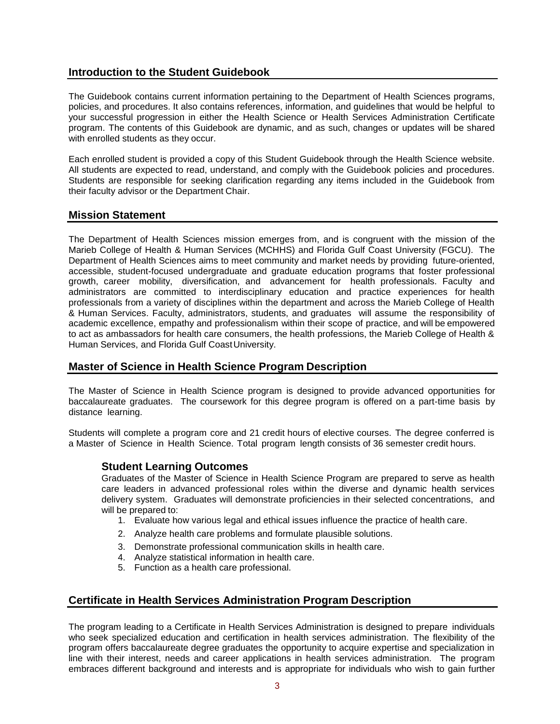### **Introduction to the Student Guidebook**

The Guidebook contains current information pertaining to the Department of Health Sciences programs, policies, and procedures. It also contains references, information, and guidelines that would be helpful to your successful progression in either the Health Science or Health Services Administration Certificate program. The contents of this Guidebook are dynamic, and as such, changes or updates will be shared with enrolled students as they occur.

Each enrolled student is provided a copy of this Student Guidebook through the Health Science website. All students are expected to read, understand, and comply with the Guidebook policies and procedures. Students are responsible for seeking clarification regarding any items included in the Guidebook from their faculty advisor or the Department Chair.

#### **Mission Statement**

The Department of Health Sciences mission emerges from, and is congruent with the mission of the Marieb College of Health & Human Services (MCHHS) and Florida Gulf Coast University (FGCU). The Department of Health Sciences aims to meet community and market needs by providing future-oriented, accessible, student-focused undergraduate and graduate education programs that foster professional growth, career mobility, diversification, and advancement for health professionals. Faculty and administrators are committed to interdisciplinary education and practice experiences for health professionals from a variety of disciplines within the department and across the Marieb College of Health & Human Services. Faculty, administrators, students, and graduates will assume the responsibility of academic excellence, empathy and professionalism within their scope of practice, and will be empowered to act as ambassadors for health care consumers, the health professions, the Marieb College of Health & Human Services, and Florida Gulf CoastUniversity.

#### **Master of Science in Health Science Program Description**

The Master of Science in Health Science program is designed to provide advanced opportunities for baccalaureate graduates. The coursework for this degree program is offered on a part-time basis by distance learning.

Students will complete a program core and 21 credit hours of elective courses. The degree conferred is a Master of Science in Health Science. Total program length consists of 36 semester credit hours.

#### **Student Learning Outcomes**

Graduates of the Master of Science in Health Science Program are prepared to serve as health care leaders in advanced professional roles within the diverse and dynamic health services delivery system. Graduates will demonstrate proficiencies in their selected concentrations, and will be prepared to:

- 1. Evaluate how various legal and ethical issues influence the practice of health care.
- 2. Analyze health care problems and formulate plausible solutions.
- 3. Demonstrate professional communication skills in health care.
- 4. Analyze statistical information in health care.
- 5. Function as a health care professional.

### **Certificate in Health Services Administration Program Description**

The program leading to a Certificate in Health Services Administration is designed to prepare individuals who seek specialized education and certification in health services administration. The flexibility of the program offers baccalaureate degree graduates the opportunity to acquire expertise and specialization in line with their interest, needs and career applications in health services administration. The program embraces different background and interests and is appropriate for individuals who wish to gain further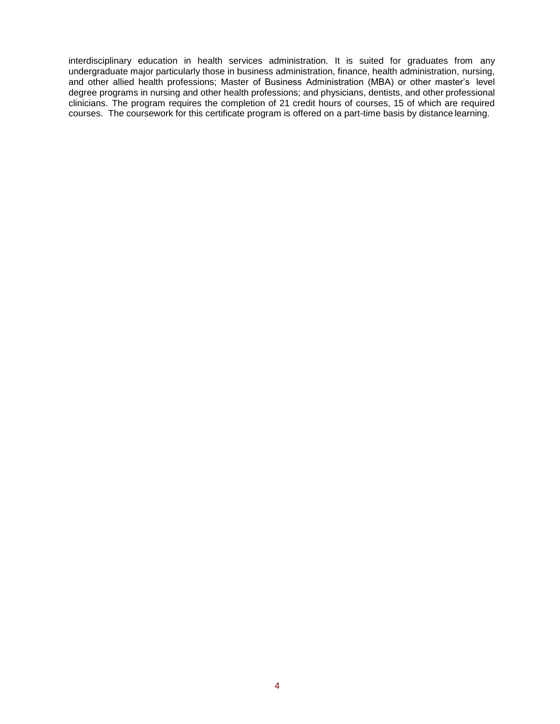interdisciplinary education in health services administration. It is suited for graduates from any undergraduate major particularly those in business administration, finance, health administration, nursing, and other allied health professions; Master of Business Administration (MBA) or other master's level degree programs in nursing and other health professions; and physicians, dentists, and other professional clinicians. The program requires the completion of 21 credit hours of courses, 15 of which are required courses. The coursework for this certificate program is offered on a part-time basis by distance learning.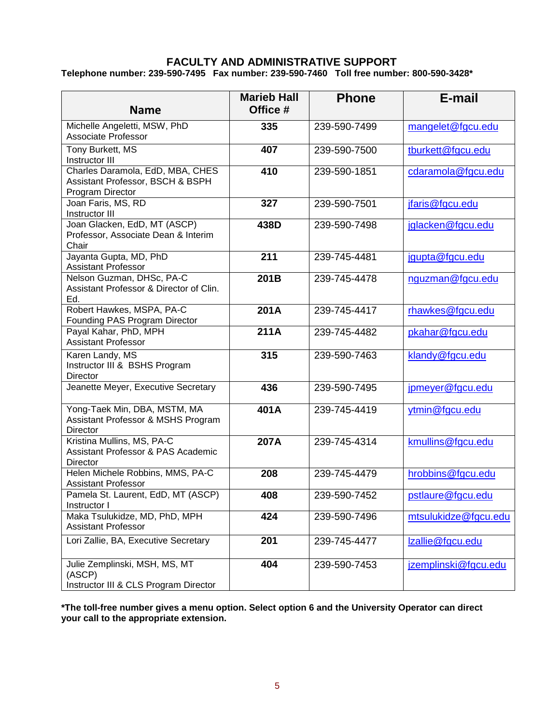### **FACULTY AND ADMINISTRATIVE SUPPORT**

**Telephone number: 239-590-7495 Fax number: 239-590-7460 Toll free number: 800-590-3428\***

|                                                                                          | <b>Marieb Hall</b> | <b>Phone</b> | E-mail               |
|------------------------------------------------------------------------------------------|--------------------|--------------|----------------------|
| <b>Name</b>                                                                              | Office #           |              |                      |
| Michelle Angeletti, MSW, PhD<br><b>Associate Professor</b>                               | 335                | 239-590-7499 | mangelet@fgcu.edu    |
| Tony Burkett, MS<br>Instructor III                                                       | 407                | 239-590-7500 | tburkett@fgcu.edu    |
| Charles Daramola, EdD, MBA, CHES<br>Assistant Professor, BSCH & BSPH<br>Program Director | 410                | 239-590-1851 | cdaramola@fgcu.edu   |
| Joan Faris, MS, RD<br>Instructor III                                                     | 327                | 239-590-7501 | jfaris@fgcu.edu      |
| Joan Glacken, EdD, MT (ASCP)<br>Professor, Associate Dean & Interim<br>Chair             | 438D               | 239-590-7498 | jglacken@fgcu.edu    |
| Jayanta Gupta, MD, PhD<br><b>Assistant Professor</b>                                     | 211                | 239-745-4481 | jgupta@fgcu.edu      |
| Nelson Guzman, DHSc, PA-C<br>Assistant Professor & Director of Clin.<br>Ed.              | 201B               | 239-745-4478 | nguzman@fgcu.edu     |
| Robert Hawkes, MSPA, PA-C<br>Founding PAS Program Director                               | 201A               | 239-745-4417 | rhawkes@fgcu.edu     |
| Payal Kahar, PhD, MPH<br><b>Assistant Professor</b>                                      | 211A               | 239-745-4482 | pkahar@fgcu.edu      |
| Karen Landy, MS<br>Instructor III & BSHS Program<br>Director                             | 315                | 239-590-7463 | klandy@fgcu.edu      |
| Jeanette Meyer, Executive Secretary                                                      | 436                | 239-590-7495 | jpmeyer@fgcu.edu     |
| Yong-Taek Min, DBA, MSTM, MA<br>Assistant Professor & MSHS Program<br>Director           | 401A               | 239-745-4419 | ytmin@fgcu.edu       |
| Kristina Mullins, MS, PA-C<br>Assistant Professor & PAS Academic<br>Director             | 207A               | 239-745-4314 | kmullins@fgcu.edu    |
| Helen Michele Robbins, MMS, PA-C<br><b>Assistant Professor</b>                           | 208                | 239-745-4479 | hrobbins@fgcu.edu    |
| Pamela St. Laurent, EdD, MT (ASCP)<br>Instructor I                                       | 408                | 239-590-7452 | pstlaure@fgcu.edu    |
| Maka Tsulukidze, MD, PhD, MPH<br><b>Assistant Professor</b>                              | 424                | 239-590-7496 | mtsulukidze@fgcu.edu |
| Lori Zallie, BA, Executive Secretary                                                     | 201                | 239-745-4477 | Izallie@fgcu.edu     |
| Julie Zemplinski, MSH, MS, MT<br>(ASCP)<br>Instructor III & CLS Program Director         | 404                | 239-590-7453 | jzemplinski@fgcu.edu |

**\*The toll-free number gives a menu option. Select option 6 and the University Operator can direct your call to the appropriate extension.**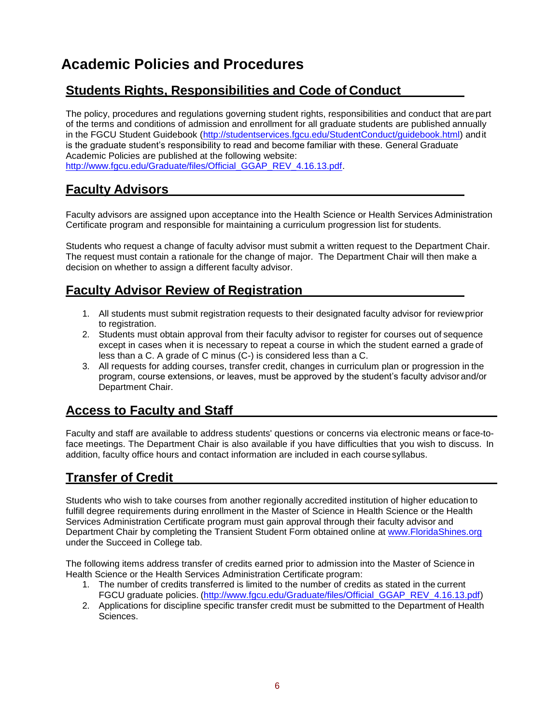## **Academic Policies and Procedures**

### **Students Rights, Responsibilities and Code of Conduct**

The policy, procedures and regulations governing student rights, responsibilities and conduct that are part of the terms and conditions of admission and enrollment for all graduate students are published annually in the FGCU Student Guidebook [\(http://studentservices.fgcu.edu/StudentConduct/guidebook.html\)](http://studentservices.fgcu.edu/StudentConduct/guidebook.html) andit is the graduate student's responsibility to read and become familiar with these. General Graduate Academic Policies are published at the following website: [http://www.fgcu.edu/Graduate/files/Official\\_GGAP\\_REV\\_4.16.13.pdf.](http://www.fgcu.edu/Graduate/files/Official_GGAP_REV_4.16.13.pdf)

### **Faculty Advisors**

Faculty advisors are assigned upon acceptance into the Health Science or Health Services Administration Certificate program and responsible for maintaining a curriculum progression list for students.

Students who request a change of faculty advisor must submit a written request to the Department Chair. The request must contain a rationale for the change of major. The Department Chair will then make a decision on whether to assign a different faculty advisor.

### **Faculty Advisor Review of Registration**

- 1. All students must submit registration requests to their designated faculty advisor for reviewprior to registration.
- 2. Students must obtain approval from their faculty advisor to register for courses out of sequence except in cases when it is necessary to repeat a course in which the student earned a grade of less than a C. A grade of C minus (C-) is considered less than a C.
- 3. All requests for adding courses, transfer credit, changes in curriculum plan or progression in the program, course extensions, or leaves, must be approved by the student's faculty advisor and/or Department Chair.

### **Access to Faculty and Staff**

Faculty and staff are available to address students' questions or concerns via electronic means or face-toface meetings. The Department Chair is also available if you have difficulties that you wish to discuss. In addition, faculty office hours and contact information are included in each coursesyllabus.

### **Transfer of Credit**

Students who wish to take courses from another regionally accredited institution of higher education to fulfill degree requirements during enrollment in the Master of Science in Health Science or the Health Services Administration Certificate program must gain approval through their faculty advisor and Department Chair by completing the Transient Student Form obtained online at [www.FloridaShines.org](http://www.floridashines.org/) under the Succeed in College tab.

The following items address transfer of credits earned prior to admission into the Master of Science in Health Science or the Health Services Administration Certificate program:

- 1. The number of credits transferred is limited to the number of credits as stated in the current FGCU graduate policies. [\(http://www.fgcu.edu/Graduate/files/Official\\_GGAP\\_REV\\_4.16.13.pdf\)](http://www.fgcu.edu/Graduate/files/Official_GGAP_REV_4.16.13.pdf)
- 2. Applications for discipline specific transfer credit must be submitted to the Department of Health Sciences.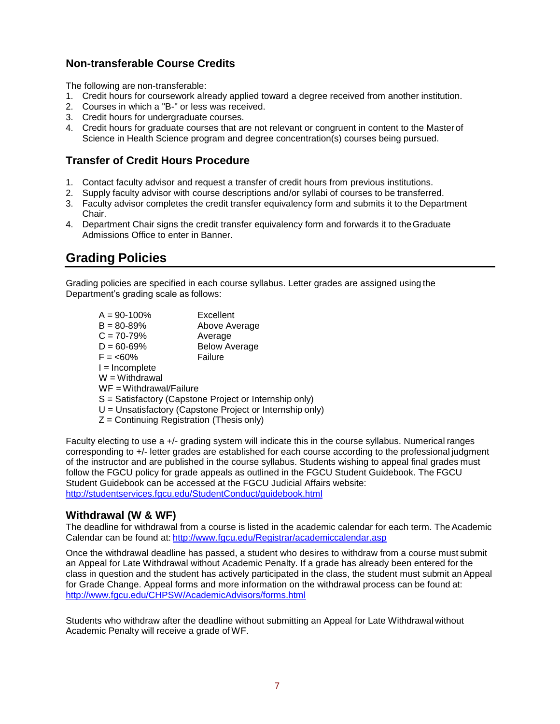### **Non-transferable Course Credits**

The following are non-transferable:

- 1. Credit hours for coursework already applied toward a degree received from another institution.
- 2. Courses in which a "B-" or less was received.
- 3. Credit hours for undergraduate courses.
- 4. Credit hours for graduate courses that are not relevant or congruent in content to the Master of Science in Health Science program and degree concentration(s) courses being pursued.

### **Transfer of Credit Hours Procedure**

- 1. Contact faculty advisor and request a transfer of credit hours from previous institutions.
- 2. Supply faculty advisor with course descriptions and/or syllabi of courses to be transferred.
- 3. Faculty advisor completes the credit transfer equivalency form and submits it to the Department Chair.
- 4. Department Chair signs the credit transfer equivalency form and forwards it to theGraduate Admissions Office to enter in Banner.

### **Grading Policies**

Grading policies are specified in each course syllabus. Letter grades are assigned using the Department's grading scale as follows:

 $A = 90-100%$  Excellent  $B = 80 - 89\%$  Above Average  $C = 70-79\%$  Average<br>  $D = 60-69\%$  Below Ay Below Average<br>Failure  $F = 60\%$ I = Incomplete  $W = W$ ithdrawal WF = Withdrawal/Failure S = Satisfactory (Capstone Project or Internship only) U = Unsatisfactory (Capstone Project or Internship only)  $Z =$  Continuing Registration (Thesis only)

Faculty electing to use a +/- grading system will indicate this in the course syllabus. Numerical ranges corresponding to +/- letter grades are established for each course according to the professional judgment of the instructor and are published in the course syllabus. Students wishing to appeal final grades must follow the FGCU policy for grade appeals as outlined in the FGCU Student Guidebook. The FGCU Student Guidebook can be accessed at the FGCU Judicial Affairs website: <http://studentservices.fgcu.edu/StudentConduct/guidebook.html>

### **Withdrawal (W & WF)**

The deadline for withdrawal from a course is listed in the academic calendar for each term. The Academic Calendar can be found at: <http://www.fgcu.edu/Registrar/academiccalendar.asp>

Once the withdrawal deadline has passed, a student who desires to withdraw from a course must submit an Appeal for Late Withdrawal without Academic Penalty. If a grade has already been entered for the class in question and the student has actively participated in the class, the student must submit an [Appeal](http://www.fgcu.edu/CHPSW/chpforms.html#grade_appeal) [for Grade Change.](http://www.fgcu.edu/CHPSW/chpforms.html#grade_appeal) Appeal forms and more information on the withdrawal process can be found at: <http://www.fgcu.edu/CHPSW/AcademicAdvisors/forms.html>

Students who withdraw after the deadline without submitting an Appeal for Late Withdrawal without Academic Penalty will receive a grade of WF.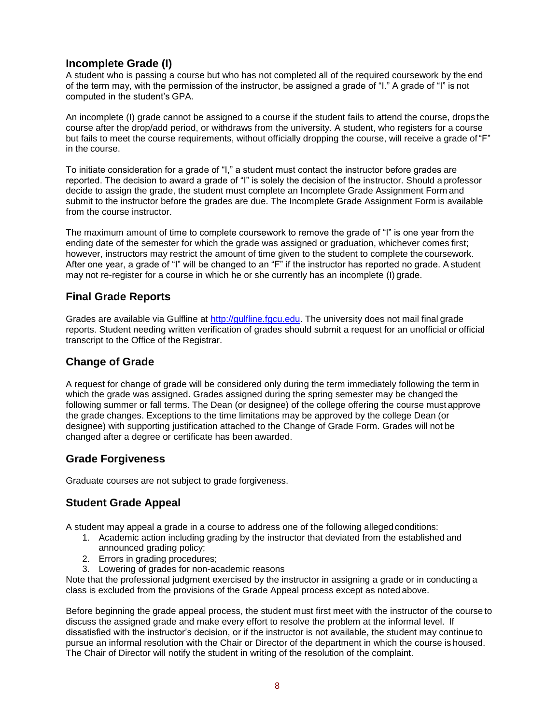### **Incomplete Grade (I)**

A student who is passing a course but who has not completed all of the required coursework by the end of the term may, with the permission of the instructor, be assigned a grade of "I." A grade of "I" is not computed in the student's GPA.

An incomplete (I) grade cannot be assigned to a course if the student fails to attend the course, drops the course after the drop/add period, or withdraws from the university. A student, who registers for a course but fails to meet the course requirements, without officially dropping the course, will receive a grade of "F" in the course.

To initiate consideration for a grade of "I," a student must contact the instructor before grades are reported. The decision to award a grade of "I" is solely the decision of the instructor. Should a professor decide to assign the grade, the student must complete an Incomplete Grade Assignment Form and submit to the instructor before the grades are due. The Incomplete Grade Assignment Form is available from the course instructor.

The maximum amount of time to complete coursework to remove the grade of "I" is one year from the ending date of the semester for which the grade was assigned or graduation, whichever comes first; however, instructors may restrict the amount of time given to the student to complete the coursework. After one year, a grade of "I" will be changed to an "F" if the instructor has reported no grade. A student may not re-register for a course in which he or she currently has an incomplete (I) grade.

### **Final Grade Reports**

Grades are available via Gulfline at [http://gulfline.fgcu.edu.](http://gulfline.fgcu.edu/) The university does not mail final grade reports. Student needing written verification of grades should submit a request for an unofficial or official transcript to the Office of the Registrar.

### **Change of Grade**

A request for change of grade will be considered only during the term immediately following the term in which the grade was assigned. Grades assigned during the spring semester may be changed the following summer or fall terms. The Dean (or designee) of the college offering the course must approve the grade changes. Exceptions to the time limitations may be approved by the college Dean (or designee) with supporting justification attached to the Change of Grade Form. Grades will not be changed after a degree or certificate has been awarded.

#### **Grade Forgiveness**

Graduate courses are not subject to grade forgiveness.

### **Student Grade Appeal**

A student may appeal a grade in a course to address one of the following allegedconditions:

- 1. Academic action including grading by the instructor that deviated from the established and announced grading policy;
	- 2. Errors in grading procedures;
- 3. Lowering of grades for non-academic reasons

Note that the professional judgment exercised by the instructor in assigning a grade or in conducting a class is excluded from the provisions of the Grade Appeal process except as noted above.

Before beginning the grade appeal process, the student must first meet with the instructor of the course to discuss the assigned grade and make every effort to resolve the problem at the informal level. If dissatisfied with the instructor's decision, or if the instructor is not available, the student may continue to pursue an informal resolution with the Chair or Director of the department in which the course is housed. The Chair of Director will notify the student in writing of the resolution of the complaint.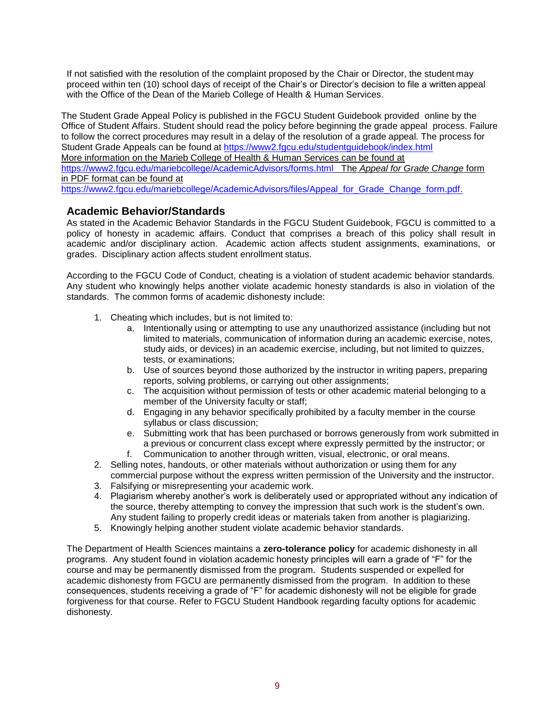If not satisfied with the resolution of the complaint proposed by the Chair or Director, the student may proceed within ten (10) school days of receipt of the Chair's or Director's decision to file a written appeal with the Office of the Dean of the Marieb College of Health & Human Services.

The Student Grade Appeal Policy is published in the FGCU Student Guidebook provided online by the Office of Student Affairs. Student should read the policy before beginning the grade appeal process. Failure to follow the correct procedures may result in a delay of the resolution of a grade appeal. The process for Student Grade Appeals can be found at<https://www2.fgcu.edu/studentguidebook/index.html> More information on the Marieb College of Health & Human Services can be found at <https://www2.fgcu.edu/mariebcollege/AcademicAdvisors/forms.html> The *Appeal for Grade Change* form in PDF format can be found at

[https://www2.fgcu.edu/mariebcollege/AcademicAdvisors/files/Appeal\\_for\\_Grade\\_Change\\_form.pdf.](https://www2.fgcu.edu/mariebcollege/AcademicAdvisors/files/Appeal_for_Grade_Change_form.pdf)

#### **Academic Behavior/Standards**

As stated in the Academic Behavior Standards in the FGCU Student Guidebook, FGCU is committed to a policy of honesty in academic affairs. Conduct that comprises a breach of this policy shall result in academic and/or disciplinary action. Academic action affects student assignments, examinations, or grades. Disciplinary action affects student enrollment status.

According to the FGCU Code of Conduct, cheating is a violation of student academic behavior standards. Any student who knowingly helps another violate academic honesty standards is also in violation of the standards. The common forms of academic dishonesty include:

- 1. Cheating which includes, but is not limited to:
	- a. Intentionally using or attempting to use any unauthorized assistance (including but not limited to materials, communication of information during an academic exercise, notes, study aids, or devices) in an academic exercise, including, but not limited to quizzes, tests, or examinations;
	- b. Use of sources beyond those authorized by the instructor in writing papers, preparing reports, solving problems, or carrying out other assignments;
	- c. The acquisition without permission of tests or other academic material belonging to a member of the University faculty or staff;
	- d. Engaging in any behavior specifically prohibited by a faculty member in the course syllabus or class discussion;
	- e. Submitting work that has been purchased or borrows generously from work submitted in a previous or concurrent class except where expressly permitted by the instructor; or f. Communication to another through written, visual, electronic, or oral means.
- 2. Selling notes, handouts, or other materials without authorization or using them for any
- commercial purpose without the express written permission of the University and the instructor. 3. Falsifying or misrepresenting your academic work.
- 4. Plagiarism whereby another's work is deliberately used or appropriated without any indication of the source, thereby attempting to convey the impression that such work is the student's own. Any student failing to properly credit ideas or materials taken from another is plagiarizing.
- 5. Knowingly helping another student violate academic behavior standards.

The Department of Health Sciences maintains a **zero-tolerance policy** for academic dishonesty in all programs. Any student found in violation academic honesty principles will earn a grade of "F" for the course and may be permanently dismissed from the program. Students suspended or expelled for academic dishonesty from FGCU are permanently dismissed from the program. In addition to these consequences, students receiving a grade of "F" for academic dishonesty will not be eligible for grade forgiveness for that course. Refer to FGCU Student Handbook regarding faculty options for academic dishonesty.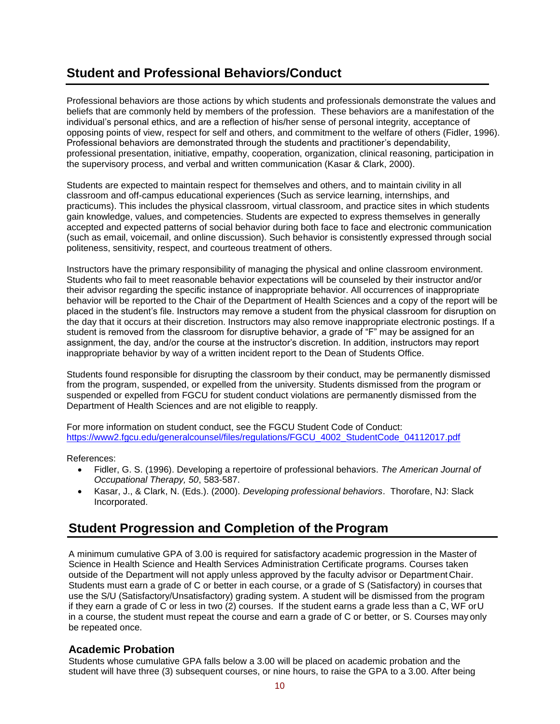### **Student and Professional Behaviors/Conduct**

Professional behaviors are those actions by which students and professionals demonstrate the values and beliefs that are commonly held by members of the profession. These behaviors are a manifestation of the individual's personal ethics, and are a reflection of his/her sense of personal integrity, acceptance of opposing points of view, respect for self and others, and commitment to the welfare of others (Fidler, 1996). Professional behaviors are demonstrated through the students and practitioner's dependability, professional presentation, initiative, empathy, cooperation, organization, clinical reasoning, participation in the supervisory process, and verbal and written communication (Kasar & Clark, 2000).

Students are expected to maintain respect for themselves and others, and to maintain civility in all classroom and off-campus educational experiences (Such as service learning, internships, and practicums). This includes the physical classroom, virtual classroom, and practice sites in which students gain knowledge, values, and competencies. Students are expected to express themselves in generally accepted and expected patterns of social behavior during both face to face and electronic communication (such as email, voicemail, and online discussion). Such behavior is consistently expressed through social politeness, sensitivity, respect, and courteous treatment of others.

Instructors have the primary responsibility of managing the physical and online classroom environment. Students who fail to meet reasonable behavior expectations will be counseled by their instructor and/or their advisor regarding the specific instance of inappropriate behavior. All occurrences of inappropriate behavior will be reported to the Chair of the Department of Health Sciences and a copy of the report will be placed in the student's file. Instructors may remove a student from the physical classroom for disruption on the day that it occurs at their discretion. Instructors may also remove inappropriate electronic postings. If a student is removed from the classroom for disruptive behavior, a grade of "F" may be assigned for an assignment, the day, and/or the course at the instructor's discretion. In addition, instructors may report inappropriate behavior by way of a written incident report to the Dean of Students Office.

Students found responsible for disrupting the classroom by their conduct, may be permanently dismissed from the program, suspended, or expelled from the university. Students dismissed from the program or suspended or expelled from FGCU for student conduct violations are permanently dismissed from the Department of Health Sciences and are not eligible to reapply.

For more information on student conduct, see the FGCU Student Code of Conduct: [https://www2.fgcu.edu/generalcounsel/files/regulations/FGCU\\_4002\\_StudentCode\\_04112017.pdf](https://www2.fgcu.edu/generalcounsel/files/regulations/FGCU_4002_StudentCode_04112017.pdf)

References:

- Fidler, G. S. (1996). Developing a repertoire of professional behaviors. *The American Journal of Occupational Therapy, 50*, 583-587.
- Kasar, J., & Clark, N. (Eds.). (2000). *Developing professional behaviors*. Thorofare, NJ: Slack Incorporated.

### **Student Progression and Completion of the Program**

A minimum cumulative GPA of 3.00 is required for satisfactory academic progression in the Master of Science in Health Science and Health Services Administration Certificate programs. Courses taken outside of the Department will not apply unless approved by the faculty advisor or DepartmentChair. Students must earn a grade of C or better in each course, or a grade of S (Satisfactory) in courses that use the S/U (Satisfactory/Unsatisfactory) grading system. A student will be dismissed from the program if they earn a grade of C or less in two (2) courses. If the student earns a grade less than a C, WF orU in a course, the student must repeat the course and earn a grade of C or better, or S. Courses may only be repeated once.

#### **Academic Probation**

Students whose cumulative GPA falls below a 3.00 will be placed on academic probation and the student will have three (3) subsequent courses, or nine hours, to raise the GPA to a 3.00. After being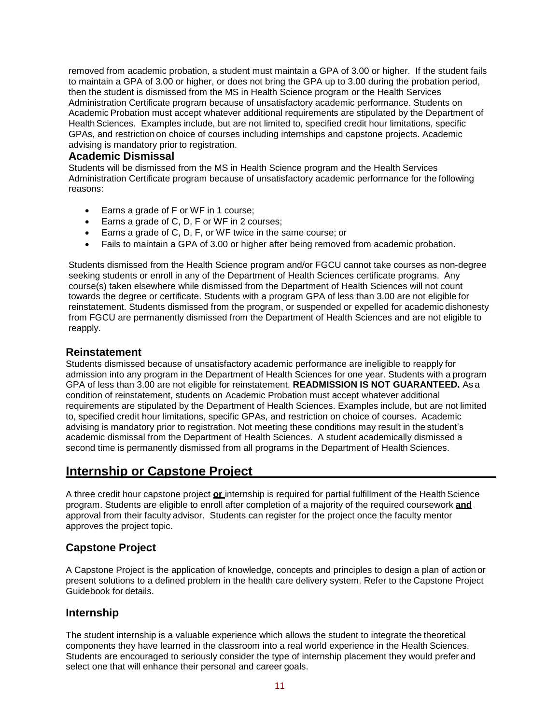removed from academic probation, a student must maintain a GPA of 3.00 or higher. If the student fails to maintain a GPA of 3.00 or higher, or does not bring the GPA up to 3.00 during the probation period, then the student is dismissed from the MS in Health Science program or the Health Services Administration Certificate program because of unsatisfactory academic performance. Students on Academic Probation must accept whatever additional requirements are stipulated by the Department of Health Sciences. Examples include, but are not limited to, specified credit hour limitations, specific GPAs, and restriction on choice of courses including internships and capstone projects. Academic advising is mandatory prior to registration.

#### **Academic Dismissal**

Students will be dismissed from the MS in Health Science program and the Health Services Administration Certificate program because of unsatisfactory academic performance for the following reasons:

- Earns a grade of F or WF in 1 course;
- Earns a grade of C, D, F or WF in 2 courses;
- Earns a grade of C, D, F, or WF twice in the same course; or
- Fails to maintain a GPA of 3.00 or higher after being removed from academic probation.

Students dismissed from the Health Science program and/or FGCU cannot take courses as non-degree seeking students or enroll in any of the Department of Health Sciences certificate programs. Any course(s) taken elsewhere while dismissed from the Department of Health Sciences will not count towards the degree or certificate. Students with a program GPA of less than 3.00 are not eligible for reinstatement. Students dismissed from the program, or suspended or expelled for academic dishonesty from FGCU are permanently dismissed from the Department of Health Sciences and are not eligible to reapply.

#### **Reinstatement**

Students dismissed because of unsatisfactory academic performance are ineligible to reapply for admission into any program in the Department of Health Sciences for one year. Students with a program GPA of less than 3.00 are not eligible for reinstatement. **READMISSION IS NOT GUARANTEED.** As a condition of reinstatement, students on Academic Probation must accept whatever additional requirements are stipulated by the Department of Health Sciences. Examples include, but are not limited to, specified credit hour limitations, specific GPAs, and restriction on choice of courses. Academic advising is mandatory prior to registration. Not meeting these conditions may result in the student's academic dismissal from the Department of Health Sciences. A student academically dismissed a second time is permanently dismissed from all programs in the Department of Health Sciences.

### **Internship or Capstone Project**

A three credit hour capstone project **or** internship is required for partial fulfillment of the HealthScience program. Students are eligible to enroll after completion of a majority of the required coursework **and** approval from their faculty advisor. Students can register for the project once the faculty mentor approves the project topic.

### **Capstone Project**

A Capstone Project is the application of knowledge, concepts and principles to design a plan of action or present solutions to a defined problem in the health care delivery system. Refer to the Capstone Project Guidebook for details.

### **Internship**

The student internship is a valuable experience which allows the student to integrate the theoretical components they have learned in the classroom into a real world experience in the Health Sciences. Students are encouraged to seriously consider the type of internship placement they would prefer and select one that will enhance their personal and career goals.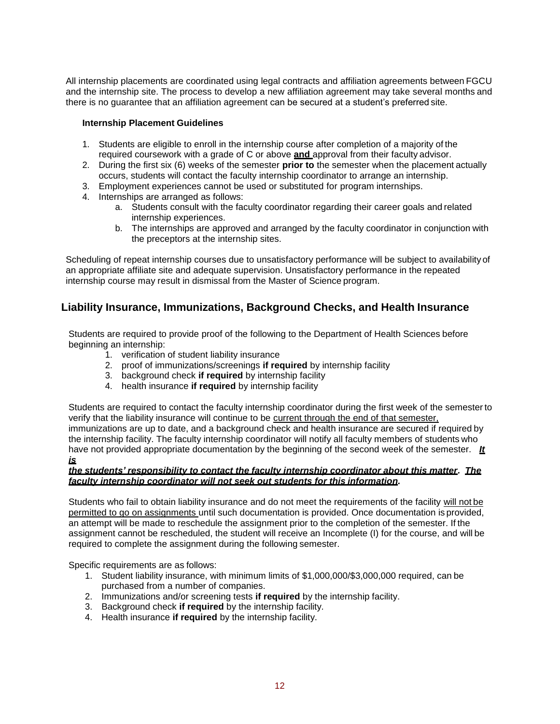All internship placements are coordinated using legal contracts and affiliation agreements between FGCU and the internship site. The process to develop a new affiliation agreement may take several months and there is no guarantee that an affiliation agreement can be secured at a student's preferred site.

#### **Internship Placement Guidelines**

- 1. Students are eligible to enroll in the internship course after completion of a majority of the required coursework with a grade of C or above **and** approval from their faculty advisor.
- 2. During the first six (6) weeks of the semester **prior to** the semester when the placement actually occurs, students will contact the faculty internship coordinator to arrange an internship.
- 3. Employment experiences cannot be used or substituted for program internships.
- 4. Internships are arranged as follows:
	- a. Students consult with the faculty coordinator regarding their career goals and related internship experiences.
	- b. The internships are approved and arranged by the faculty coordinator in conjunction with the preceptors at the internship sites.

Scheduling of repeat internship courses due to unsatisfactory performance will be subject to availability of an appropriate affiliate site and adequate supervision. Unsatisfactory performance in the repeated internship course may result in dismissal from the Master of Science program.

### **Liability Insurance, Immunizations, Background Checks, and Health Insurance**

Students are required to provide proof of the following to the Department of Health Sciences before beginning an internship:

- 1. verification of student liability insurance
- 2. proof of immunizations/screenings **if required** by internship facility
- 3. background check **if required** by internship facility
- 4. health insurance **if required** by internship facility

Students are required to contact the faculty internship coordinator during the first week of the semester to verify that the liability insurance will continue to be current through the end of that semester, immunizations are up to date, and a background check and health insurance are secured if required by the internship facility. The faculty internship coordinator will notify all faculty members of students who have not provided appropriate documentation by the beginning of the second week of the semester. *It*

#### *is*

#### *the students' responsibility to contact the faculty internship coordinator about this matter. The faculty internship coordinator will not seek out students for this information.*

Students who fail to obtain liability insurance and do not meet the requirements of the facility will not be permitted to go on assignments until such documentation is provided. Once documentation is provided, an attempt will be made to reschedule the assignment prior to the completion of the semester. If the assignment cannot be rescheduled, the student will receive an Incomplete (I) for the course, and will be required to complete the assignment during the following semester.

Specific requirements are as follows:

- 1. Student liability insurance, with minimum limits of \$1,000,000/\$3,000,000 required, can be purchased from a number of companies.
- 2. Immunizations and/or screening tests **if required** by the internship facility.
- 3. Background check **if required** by the internship facility.
- 4. Health insurance **if required** by the internship facility.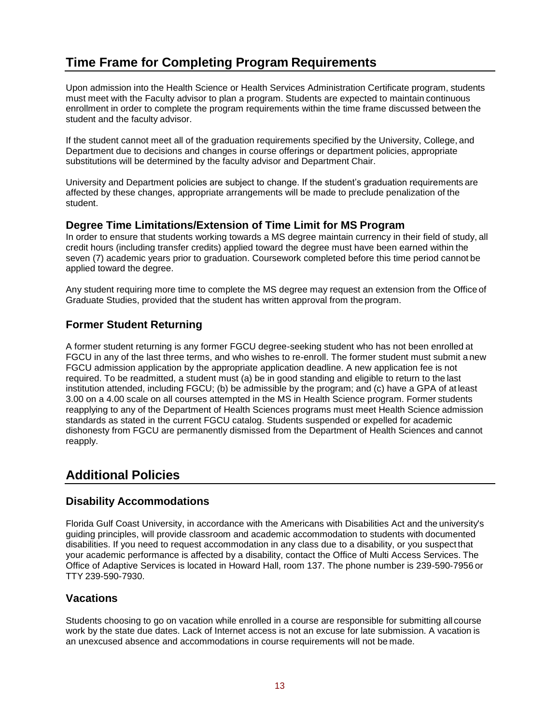### **Time Frame for Completing Program Requirements**

Upon admission into the Health Science or Health Services Administration Certificate program, students must meet with the Faculty advisor to plan a program. Students are expected to maintain continuous enrollment in order to complete the program requirements within the time frame discussed between the student and the faculty advisor.

If the student cannot meet all of the graduation requirements specified by the University, College, and Department due to decisions and changes in course offerings or department policies, appropriate substitutions will be determined by the faculty advisor and Department Chair.

University and Department policies are subject to change. If the student's graduation requirements are affected by these changes, appropriate arrangements will be made to preclude penalization of the student.

### **Degree Time Limitations/Extension of Time Limit for MS Program**

In order to ensure that students working towards a MS degree maintain currency in their field of study, all credit hours (including transfer credits) applied toward the degree must have been earned within the seven (7) academic years prior to graduation. Coursework completed before this time period cannot be applied toward the degree.

Any student requiring more time to complete the MS degree may request an extension from the Office of Graduate Studies, provided that the student has written approval from the program.

### **Former Student Returning**

A former student returning is any former FGCU degree-seeking student who has not been enrolled at FGCU in any of the last three terms, and who wishes to re-enroll. The former student must submit a new FGCU admission application by the appropriate application deadline. A new application fee is not required. To be readmitted, a student must (a) be in good standing and eligible to return to the last institution attended, including FGCU; (b) be admissible by the program; and (c) have a GPA of at least 3.00 on a 4.00 scale on all courses attempted in the MS in Health Science program. Former students reapplying to any of the Department of Health Sciences programs must meet Health Science admission standards as stated in the current FGCU catalog. Students suspended or expelled for academic dishonesty from FGCU are permanently dismissed from the Department of Health Sciences and cannot reapply.

### **Additional Policies**

### **Disability Accommodations**

Florida Gulf Coast University, in accordance with the Americans with Disabilities Act and the university's guiding principles, will provide classroom and academic accommodation to students with documented disabilities. If you need to request accommodation in any class due to a disability, or you suspect that your academic performance is affected by a disability, contact the Office of Multi Access Services. The Office of Adaptive Services is located in Howard Hall, room 137. The phone number is 239-590-7956 or TTY 239-590-7930.

### **Vacations**

Students choosing to go on vacation while enrolled in a course are responsible for submitting all course work by the state due dates. Lack of Internet access is not an excuse for late submission. A vacation is an unexcused absence and accommodations in course requirements will not be made.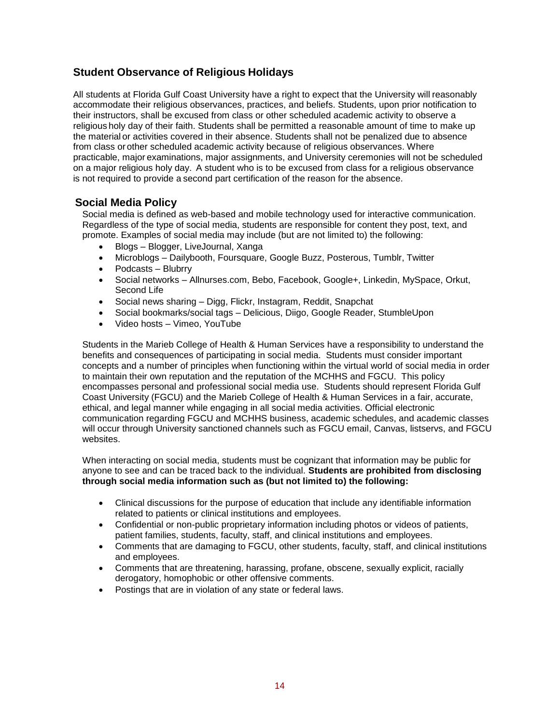### **Student Observance of Religious Holidays**

All students at Florida Gulf Coast University have a right to expect that the University will reasonably accommodate their religious observances, practices, and beliefs. Students, upon prior notification to their instructors, shall be excused from class or other scheduled academic activity to observe a religious holy day of their faith. Students shall be permitted a reasonable amount of time to make up the material or activities covered in their absence. Students shall not be penalized due to absence from class or other scheduled academic activity because of religious observances. Where practicable, major examinations, major assignments, and University ceremonies will not be scheduled on a major religious holy day. A student who is to be excused from class for a religious observance is not required to provide a second part certification of the reason for the absence.

### **Social Media Policy**

Social media is defined as web-based and mobile technology used for interactive communication. Regardless of the type of social media, students are responsible for content they post, text, and promote. Examples of social media may include (but are not limited to) the following:

- Blogs Blogger, LiveJournal, Xanga
- Microblogs Dailybooth, Foursquare, Google Buzz, Posterous, Tumblr, Twitter
- Podcasts Blubrry
- Social networks Allnurses.com, Bebo, Facebook, Google+, Linkedin, MySpace, Orkut, Second Life
- Social news sharing Digg, Flickr, Instagram, Reddit, Snapchat
- Social bookmarks/social tags Delicious, Diigo, Google Reader, StumbleUpon
- Video hosts Vimeo, YouTube

Students in the Marieb College of Health & Human Services have a responsibility to understand the benefits and consequences of participating in social media. Students must consider important concepts and a number of principles when functioning within the virtual world of social media in order to maintain their own reputation and the reputation of the MCHHS and FGCU. This policy encompasses personal and professional social media use. Students should represent Florida Gulf Coast University (FGCU) and the Marieb College of Health & Human Services in a fair, accurate, ethical, and legal manner while engaging in all social media activities. Official electronic communication regarding FGCU and MCHHS business, academic schedules, and academic classes will occur through University sanctioned channels such as FGCU email, Canvas, listservs, and FGCU websites.

When interacting on social media, students must be cognizant that information may be public for anyone to see and can be traced back to the individual. **Students are prohibited from disclosing through social media information such as (but not limited to) the following:**

- Clinical discussions for the purpose of education that include any identifiable information related to patients or clinical institutions and employees.
- Confidential or non-public proprietary information including photos or videos of patients, patient families, students, faculty, staff, and clinical institutions and employees.
- Comments that are damaging to FGCU, other students, faculty, staff, and clinical institutions and employees.
- Comments that are threatening, harassing, profane, obscene, sexually explicit, racially derogatory, homophobic or other offensive comments.
- Postings that are in violation of any state or federal laws.